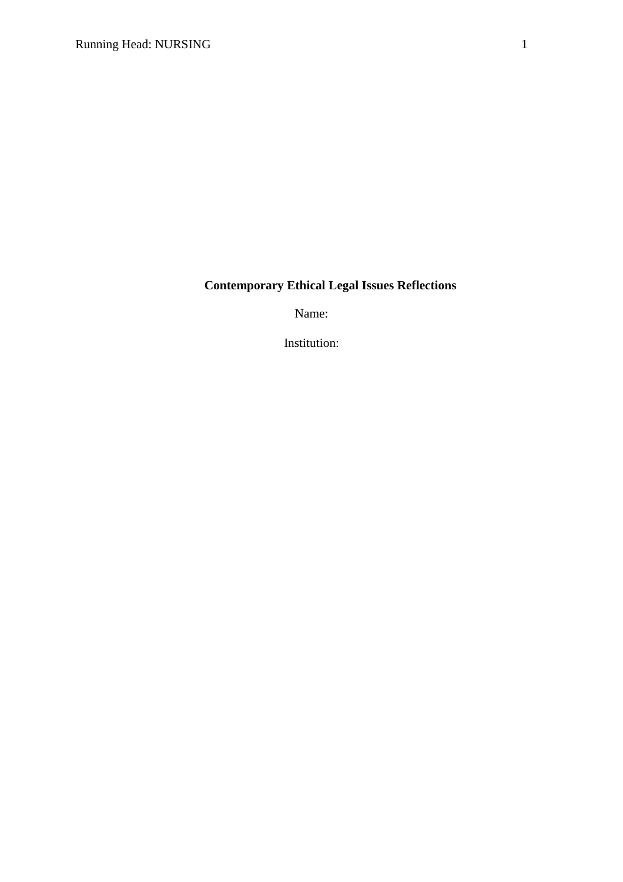## **Contemporary Ethical Legal Issues Reflections**

Name:

Institution: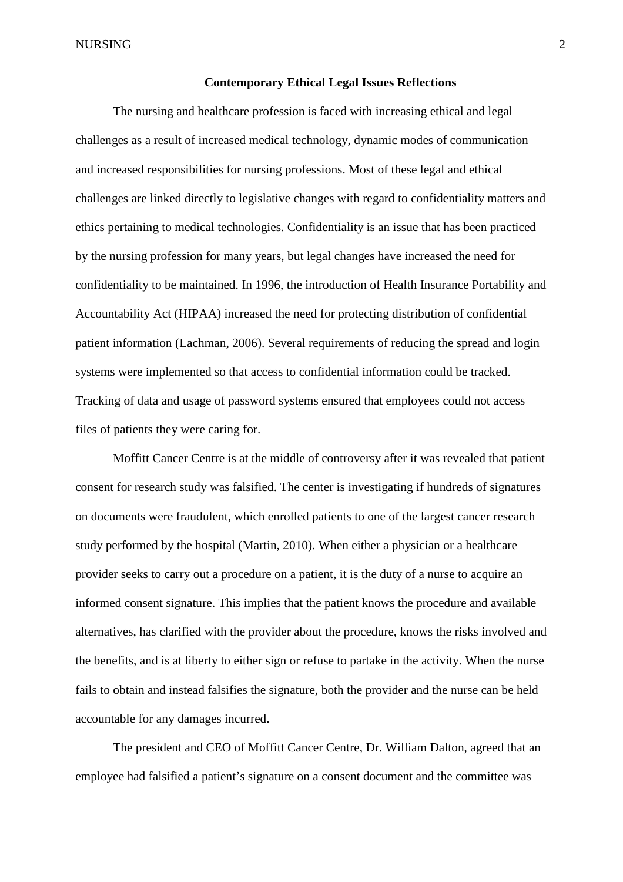## **Contemporary Ethical Legal Issues Reflections**

The nursing and healthcare profession is faced with increasing ethical and legal challenges as a result of increased medical technology, dynamic modes of communication and increased responsibilities for nursing professions. Most of these legal and ethical challenges are linked directly to legislative changes with regard to confidentiality matters and ethics pertaining to medical technologies. Confidentiality is an issue that has been practiced by the nursing profession for many years, but legal changes have increased the need for confidentiality to be maintained. In 1996, the introduction of Health Insurance Portability and Accountability Act (HIPAA) increased the need for protecting distribution of confidential patient information (Lachman, 2006). Several requirements of reducing the spread and login systems were implemented so that access to confidential information could be tracked. Tracking of data and usage of password systems ensured that employees could not access files of patients they were caring for.

Moffitt Cancer Centre is at the middle of controversy after it was revealed that patient consent for research study was falsified. The center is investigating if hundreds of signatures on documents were fraudulent, which enrolled patients to one of the largest cancer research study performed by the hospital (Martin, 2010). When either a physician or a healthcare provider seeks to carry out a procedure on a patient, it is the duty of a nurse to acquire an informed consent signature. This implies that the patient knows the procedure and available alternatives, has clarified with the provider about the procedure, knows the risks involved and the benefits, and is at liberty to either sign or refuse to partake in the activity. When the nurse fails to obtain and instead falsifies the signature, both the provider and the nurse can be held accountable for any damages incurred.

The president and CEO of Moffitt Cancer Centre, Dr. William Dalton, agreed that an employee had falsified a patient's signature on a consent document and the committee was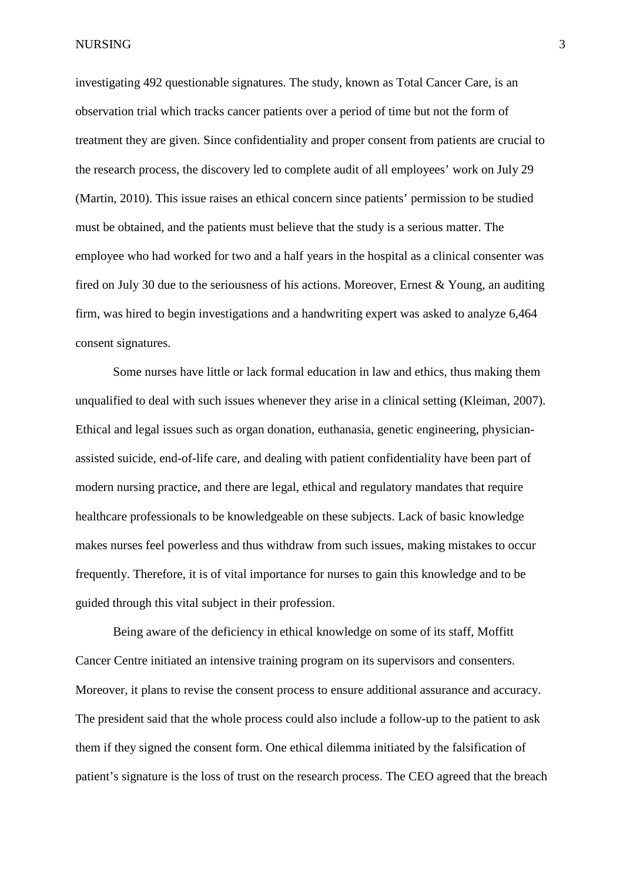NURSING 3

investigating 492 questionable signatures. The study, known as Total Cancer Care, is an observation trial which tracks cancer patients over a period of time but not the form of treatment they are given. Since confidentiality and proper consent from patients are crucial to the research process, the discovery led to complete audit of all employees' work on July 29 (Martin, 2010). This issue raises an ethical concern since patients' permission to be studied must be obtained, and the patients must believe that the study is a serious matter. The employee who had worked for two and a half years in the hospital as a clinical consenter was fired on July 30 due to the seriousness of his actions. Moreover, Ernest & Young, an auditing firm, was hired to begin investigations and a handwriting expert was asked to analyze 6,464 consent signatures.

Some nurses have little or lack formal education in law and ethics, thus making them unqualified to deal with such issues whenever they arise in a clinical setting (Kleiman, 2007). Ethical and legal issues such as organ donation, euthanasia, genetic engineering, physicianassisted suicide, end-of-life care, and dealing with patient confidentiality have been part of modern nursing practice, and there are legal, ethical and regulatory mandates that require healthcare professionals to be knowledgeable on these subjects. Lack of basic knowledge makes nurses feel powerless and thus withdraw from such issues, making mistakes to occur frequently. Therefore, it is of vital importance for nurses to gain this knowledge and to be guided through this vital subject in their profession.

Being aware of the deficiency in ethical knowledge on some of its staff, Moffitt Cancer Centre initiated an intensive training program on its supervisors and consenters. Moreover, it plans to revise the consent process to ensure additional assurance and accuracy. The president said that the whole process could also include a follow-up to the patient to ask them if they signed the consent form. One ethical dilemma initiated by the falsification of patient's signature is the loss of trust on the research process. The CEO agreed that the breach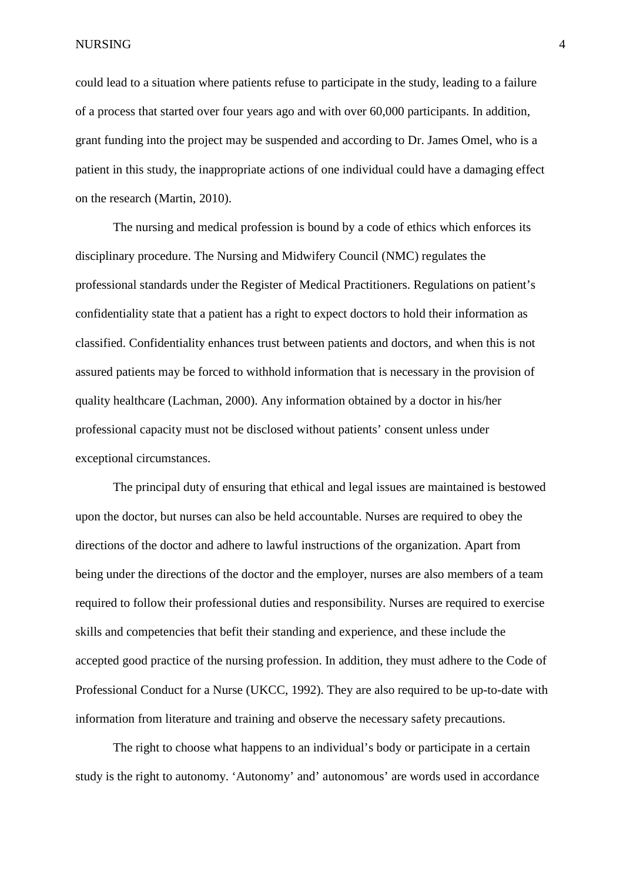NURSING 4

could lead to a situation where patients refuse to participate in the study, leading to a failure of a process that started over four years ago and with over 60,000 participants. In addition, grant funding into the project may be suspended and according to Dr. James Omel, who is a patient in this study, the inappropriate actions of one individual could have a damaging effect on the research (Martin, 2010).

The nursing and medical profession is bound by a code of ethics which enforces its disciplinary procedure. The Nursing and Midwifery Council (NMC) regulates the professional standards under the Register of Medical Practitioners. Regulations on patient's confidentiality state that a patient has a right to expect doctors to hold their information as classified. Confidentiality enhances trust between patients and doctors, and when this is not assured patients may be forced to withhold information that is necessary in the provision of quality healthcare (Lachman, 2000). Any information obtained by a doctor in his/her professional capacity must not be disclosed without patients' consent unless under exceptional circumstances.

The principal duty of ensuring that ethical and legal issues are maintained is bestowed upon the doctor, but nurses can also be held accountable. Nurses are required to obey the directions of the doctor and adhere to lawful instructions of the organization. Apart from being under the directions of the doctor and the employer, nurses are also members of a team required to follow their professional duties and responsibility. Nurses are required to exercise skills and competencies that befit their standing and experience, and these include the accepted good practice of the nursing profession. In addition, they must adhere to the Code of Professional Conduct for a Nurse (UKCC, 1992). They are also required to be up-to-date with information from literature and training and observe the necessary safety precautions.

The right to choose what happens to an individual's body or participate in a certain study is the right to autonomy. 'Autonomy' and' autonomous' are words used in accordance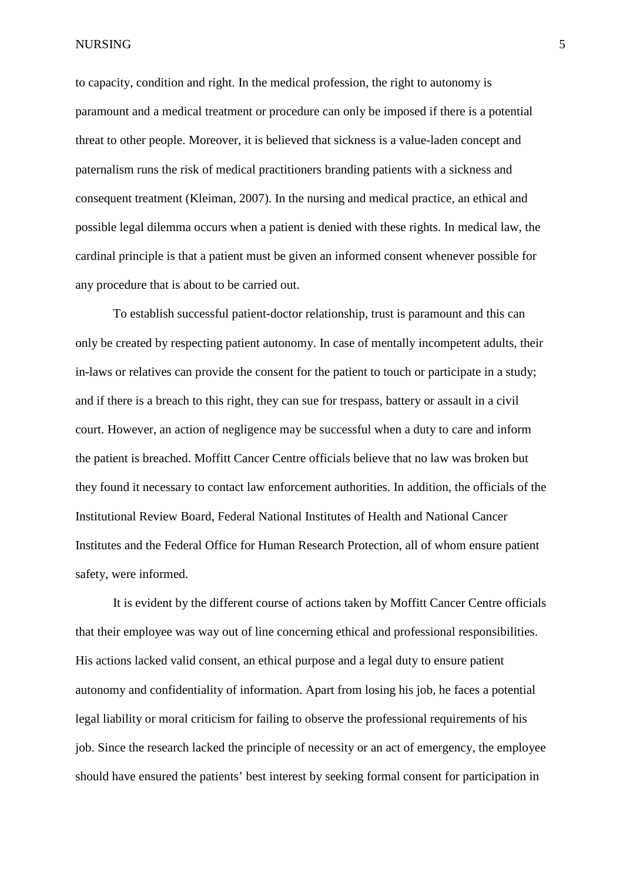NURSING 5

to capacity, condition and right. In the medical profession, the right to autonomy is paramount and a medical treatment or procedure can only be imposed if there is a potential threat to other people. Moreover, it is believed that sickness is a value-laden concept and paternalism runs the risk of medical practitioners branding patients with a sickness and consequent treatment (Kleiman, 2007). In the nursing and medical practice, an ethical and possible legal dilemma occurs when a patient is denied with these rights. In medical law, the cardinal principle is that a patient must be given an informed consent whenever possible for any procedure that is about to be carried out.

To establish successful patient-doctor relationship, trust is paramount and this can only be created by respecting patient autonomy. In case of mentally incompetent adults, their in-laws or relatives can provide the consent for the patient to touch or participate in a study; and if there is a breach to this right, they can sue for trespass, battery or assault in a civil court. However, an action of negligence may be successful when a duty to care and inform the patient is breached. Moffitt Cancer Centre officials believe that no law was broken but they found it necessary to contact law enforcement authorities. In addition, the officials of the Institutional Review Board, Federal National Institutes of Health and National Cancer Institutes and the Federal Office for Human Research Protection, all of whom ensure patient safety, were informed.

It is evident by the different course of actions taken by Moffitt Cancer Centre officials that their employee was way out of line concerning ethical and professional responsibilities. His actions lacked valid consent, an ethical purpose and a legal duty to ensure patient autonomy and confidentiality of information. Apart from losing his job, he faces a potential legal liability or moral criticism for failing to observe the professional requirements of his job. Since the research lacked the principle of necessity or an act of emergency, the employee should have ensured the patients' best interest by seeking formal consent for participation in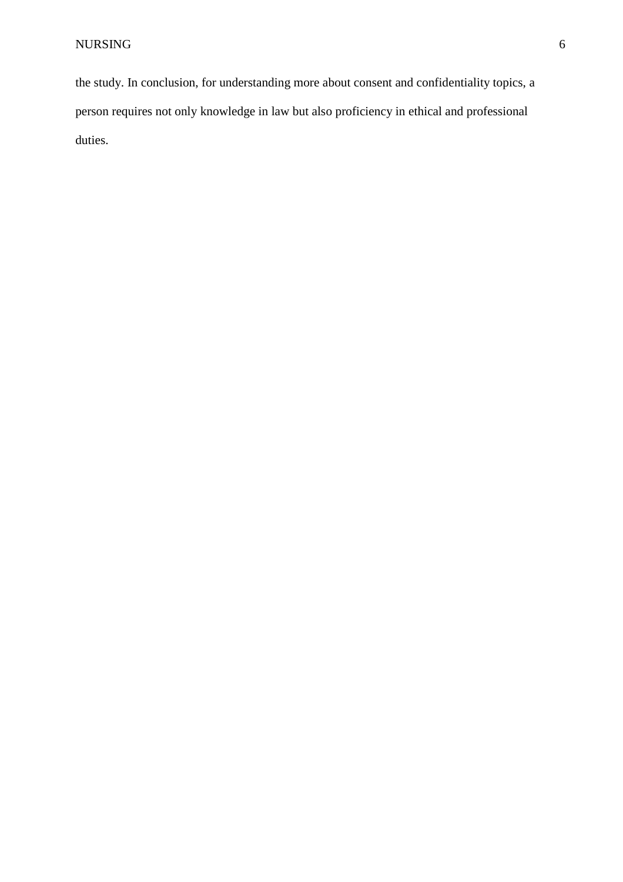the study. In conclusion, for understanding more about consent and confidentiality topics, a person requires not only knowledge in law but also proficiency in ethical and professional duties.